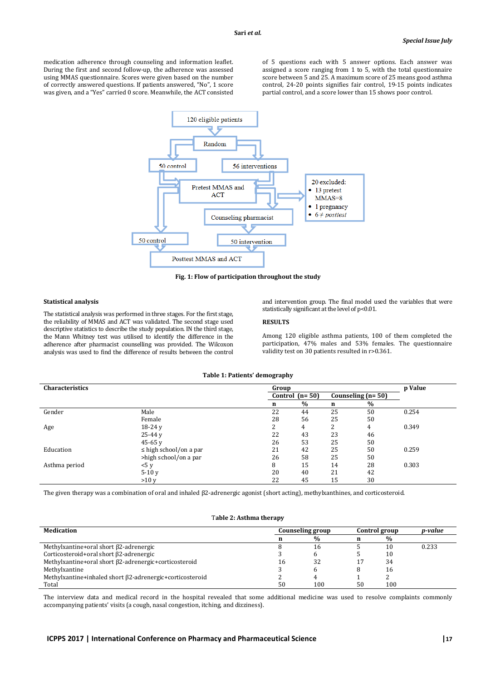medication adherence through counseling and information leaflet. During the first and second follow-up, the adherence was assessed using MMAS questionnaire. Scores were given based on the number of correctly answered questions. If patients answered, "No", 1 score was given, and a "Yes" carried 0 score. Meanwhile, the ACT consisted of 5 questions each with 5 answer options. Each answer was assigned a score ranging from 1 to 5, with the total questionnaire score between 5 and 25. A maximum score of 25 means good asthma control, 24-20 points signifies fair control, 19-15 points indicates partial control, and a score lower than 15 shows poor control.



**Fig. 1: Flow of participation throughout the study** 

#### **Statistical analysis**

The statistical analysis was performed in three stages. For the first stage, the reliability of MMAS and ACT was validated. The second stage used descriptive statistics to describe the study population. IN the third stage, the Mann Whitney test was utilised to identify the difference in the adherence after pharmacist counselling was provided. The Wilcoxon analysis was used to find the difference of results between the control and intervention group. The final model used the variables that were statistically significant at the level of p<0.01.

## **RESULTS**

Among 120 eligible asthma patients, 100 of them completed the participation, 47% males and 53% females. The questionnaire validity test on 30 patients resulted in r>0.361.

### **Table 1: Patients' demography**

| <b>Characteristics</b> |                             | Group |                  |        |                     | p Value |
|------------------------|-----------------------------|-------|------------------|--------|---------------------|---------|
|                        |                             |       | Control $(n=50)$ |        | Counseling $(n=50)$ |         |
|                        |                             | n     | $\%$             | n      | $\%$                |         |
| Gender                 | Male                        | 22    | 44               | 25     | 50                  | 0.254   |
|                        | Female                      | 28    | 56               | 25     | 50                  |         |
| Age                    | $18-24y$                    |       | 4                | ำ<br>Z | 4                   | 0.349   |
|                        | $25-44v$                    | 22    | 43               | 23     | 46                  |         |
|                        | 45-65 $v$                   | 26    | 53               | 25     | 50                  |         |
| Education              | $\leq$ high school/on a par | 21    | 42               | 25     | 50                  | 0.259   |
|                        | >high school/on a par       | 26    | 58               | 25     | 50                  |         |
| Asthma period          | 5 y                         | 8     | 15               | 14     | 28                  | 0.303   |
|                        | $5-10y$                     | 20    | 40               | 21     | 42                  |         |
|                        | >10v                        | 22    | 45               | 15     | 30                  |         |

The given therapy was a combination of oral and inhaled β2-adrenergic agonist (short acting), methylxanthines, and corticosteroid.

# T**able 2: Asthma therapy**

| Medication                                               | Counseling group |               | Control group |      | p-value |
|----------------------------------------------------------|------------------|---------------|---------------|------|---------|
|                                                          |                  | $\frac{0}{0}$ |               | $\%$ |         |
| Methylxantine+oral short $\beta$ 2-adrenergic            |                  | 16            |               | 10   | 0.233   |
| Corticosteroid+oral short β2-adrenergic                  |                  |               |               | 10   |         |
| Methylxantine+oral short β2-adrenergic+corticosteroid    | 16               | 32            |               | 34   |         |
| Methylxantine                                            |                  |               |               | 16   |         |
| Methylxantine+inhaled short B2-adrenergic+corticosteroid |                  |               |               |      |         |
| Total                                                    | 50               | 100           | 50            | 100  |         |

The interview data and medical record in the hospital revealed that some additional medicine was used to resolve complaints commonly accompanying patients' visits (a cough, nasal congestion, itching, and dizziness).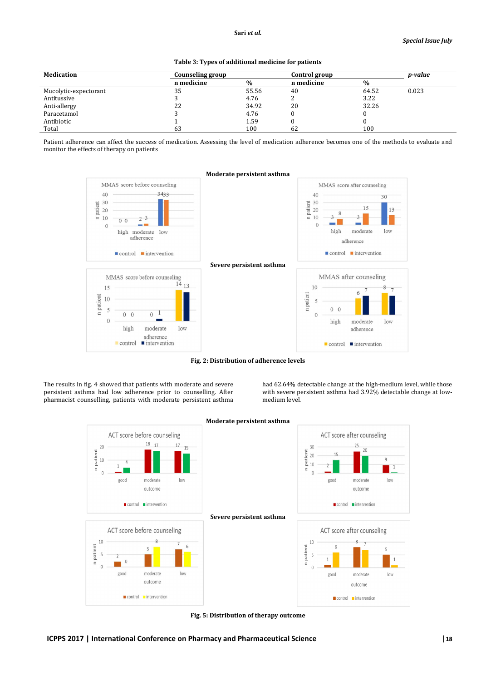| <b>Medication</b>     | Counseling group |               | Control group |       | <i>p-value</i> |
|-----------------------|------------------|---------------|---------------|-------|----------------|
|                       | n medicine       | $\frac{0}{0}$ | n medicine    | $\%$  |                |
| Mucolytic-expectorant | 35               | 55.56         | 40            | 64.52 | 0.023          |
| Antitussive           |                  | 4.76          |               | 3.22  |                |
| Anti-allergy          | 22               | 34.92         | 20            | 32.26 |                |
| Paracetamol           |                  | 4.76          |               |       |                |
| Antibiotic            |                  | 1.59          |               |       |                |
| Total                 | 63               | 100           | 62            | 100   |                |

**Table 3: Types of additional medicine for patients** 

Patient adherence can affect the success of medication. Assessing the level of medication adherence becomes one of the methods to evaluate and monitor the effects of therapy on patients



**Fig. 2: Distribution of adherence levels** 

The results in fig. 4 showed that patients with moderate and severe persistent asthma had low adherence prior to counselling. After pharmacist counselling, patients with moderate persistent asthma had 62.64% detectable change at the high-medium level, while those with severe persistent asthma had 3.92% detectable change at lowmedium level.



**Moderate persistent asthma**

**Fig. 5: Distribution of therapy outcome**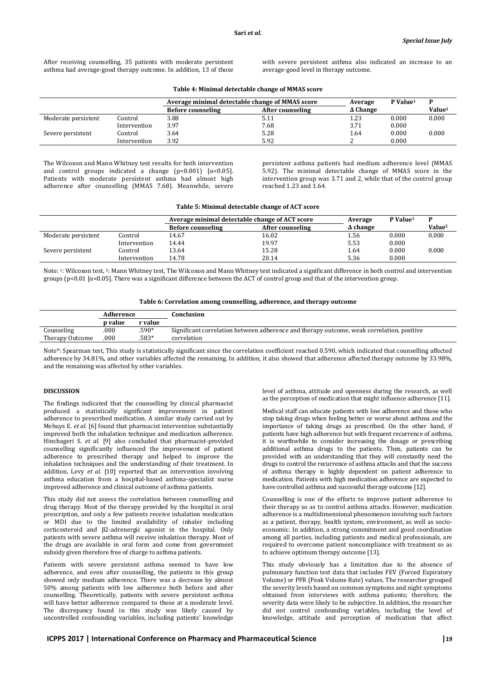After receiving counselling, 35 patients with moderate persistent asthma had average-good therapy outcome. In addition, 13 of those with severe persistent asthma also indicated an increase to an average-good level in therapy outcome.

|                     |              | Average minimal detectable change of MMAS score |                  | Average         | P Value <sup>1</sup> | D             |
|---------------------|--------------|-------------------------------------------------|------------------|-----------------|----------------------|---------------|
|                     |              | <b>Before counseling</b>                        | After counseling | $\Delta$ Change |                      | <b>Value2</b> |
| Moderate persistent | Control      | 3.88                                            | 5.11             | 1.23            | 0.000                | 0.000         |
|                     | Intervention | 3.97                                            | 7.68             | 3.71            | 0.000                |               |
| Severe persistent   | Control      | 3.64                                            | 5.28             | 1.64            | 0.000                | 0.000         |
|                     | Intervention | 3.92                                            | 5.92             |                 | 0.000                |               |

**Table 4: Minimal detectable change of MMAS score** 

The Wilcoxon and Mann Whitney test results for both intervention and control groups indicated a change (p<0.001) [ $\alpha$ <0.05]. Patients with moderate persistent asthma had almost high adherence after counselling (MMAS 7.68). Meanwhile, severe

persistent asthma patients had medium adherence level (MMAS 5.92). The minimal detectable change of MMAS score in the intervention group was 3.71 and 2, while that of the control group reached 1.23 and 1.64.

|                     |              | Average minimal detectable change of ACT score |                  | Average         | P Value <sup>1</sup> | D                  |
|---------------------|--------------|------------------------------------------------|------------------|-----------------|----------------------|--------------------|
|                     |              | <b>Before counseling</b>                       | After counseling | $\Delta$ change |                      | Value <sup>2</sup> |
| Moderate persistent | Control      | 14.67                                          | 16.02            | 1.56            | 0.000                | 0.000              |
|                     | Intervention | 14.44                                          | 19.97            | 5.53            | 0.000                |                    |
| Severe persistent   | Control      | 13.64                                          | 15.28            | 1.64            | 0.000                | 0.000              |
|                     | Intervention | 14.78                                          | 20.14            | 5.36            | 0.000                |                    |

Note: 1: Wilcoxon test, <sup>2</sup>: Mann Whitney test, The Wilcoxon and Mann Whitney test indicated a significant difference in both control and intervention groups (p<0.01 [α<0.05]. There was a significant difference between the ACT of control group and that of the intervention group.

| Table 6: Correlation among counselling, adherence, and therapy outcome |  |  |
|------------------------------------------------------------------------|--|--|
|                                                                        |  |  |

| Adherence       |         |         | Conclusion                                                                                |
|-----------------|---------|---------|-------------------------------------------------------------------------------------------|
|                 | p value | r value |                                                                                           |
| Counseling      | .000    | $.590*$ | Significant correlation between adherence and therapy outcome, weak correlation, positive |
| Therapy Outcome | .000    | .583*   | correlation                                                                               |
|                 |         |         |                                                                                           |

Note<sup>\*</sup>: Spearman test, This study is statistically significant since the correlation coefficient reached 0.590, which indicated that counselling affected adherence by 34.81%, and other variables affected the remaining. In addition, it also showed that adherence affected therapy outcome by 33.98%, and the remaining was affected by other variables.

## **DISCUSSION**

The findings indicated that the counselling by clinical pharmacist produced a statistically significant improvement in patient adherence to prescribed medication. A similar study carried out by Mehuys E. *et al.* [6] found that pharmacist intervention substantially improved both the inhalation technique and medication adherence. Hinchageri S. *et al.* [9] also concluded that pharmacist-provided counselling significantly influenced the improvement of patient adherence to prescribed therapy and helped to improve the inhalation techniques and the understanding of their treatment. In addition, Levy *et al.* [10] reported that an intervention involving asthma education from a hospital-based asthma-specialist nurse improved adherence and clinical outcome of asthma patients.

This study did not assess the correlation between counselling and drug therapy. Most of the therapy provided by the hospital is oral prescription, and only a few patients receive inhalation medication or MDI due to the limited availability of inhaler including corticosteroid and β2-adrenergic agonist in the hospital. Only patients with severe asthma will receive inhalation therapy. Most of the drugs are available in oral form and come from government subsidy given therefore free of charge to asthma patients.

Patients with severe persistent asthma seemed to have low adherence, and even after counselling, the patients in this group showed only medium adherence. There was a decrease by almost 50% among patients with low adherence both before and after counselling. Theoretically, patients with severe persistent asthma will have better adherence compared to those at a moderate level. The discrepancy found in this study was likely caused by uncontrolled confounding variables, including patients' knowledge

level of asthma, attitude and openness during the research, as well as the perception of medication that might influence adherence [11].

Medical staff can educate patients with low adherence and those who stop taking drugs when feeling better or worse about asthma and the importance of taking drugs as prescribed. On the other hand, if patients have high adherence but with frequent recurrence of asthma, it is worthwhile to consider increasing the dosage or prescribing additional asthma drugs to the patients. Then, patients can be provided with an understanding that they will constantly need the drugs to control the recurrence of asthma attacks and that the success of asthma therapy is highly dependent on patient adherence to medication. Patients with high medication adherence are expected to have controlled asthma and successful therapy outcome [12].

Counselling is one of the efforts to improve patient adherence to their therapy so as to control asthma attacks. However, medication adherence is a multidimensional phenomenon involving such factors as a patient, therapy, health system, environment, as well as socioeconomic. In addition, a strong commitment and good coordination among all parties, including patients and medical professionals, are required to overcome patient noncompliance with treatment so as to achieve optimum therapy outcome [13].

This study obviously has a limitation due to the absence of pulmonary function test data that includes FEV (Forced Expiratory Volume) or PFR (Peak Volume Rate) values. The researcher grouped the severity levels based on common symptoms and night symptoms obtained from interviews with asthma patients; therefore, the severity data were likely to be subjective. In addition, the researcher did not control confounding variables, including the level of knowledge, attitude and perception of medication that affect